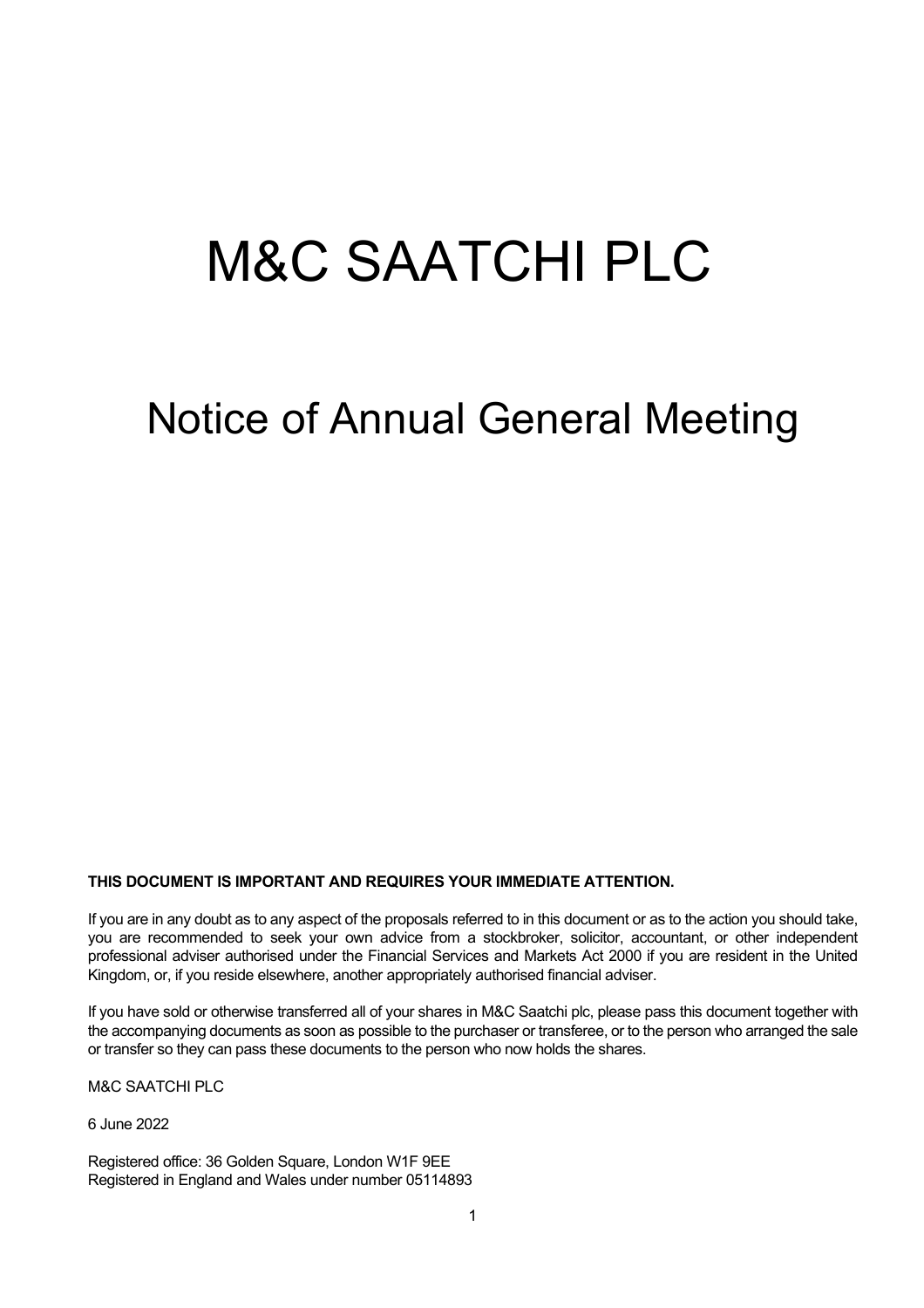# M&C SAATCHI PLC

## Notice of Annual General Meeting

#### **THIS DOCUMENT IS IMPORTANT AND REQUIRES YOUR IMMEDIATE ATTENTION.**

If you are in any doubt as to any aspect of the proposals referred to in this document or as to the action you should take, you are recommended to seek your own advice from a stockbroker, solicitor, accountant, or other independent professional adviser authorised under the Financial Services and Markets Act 2000 if you are resident in the United Kingdom, or, if you reside elsewhere, another appropriately authorised financial adviser.

If you have sold or otherwise transferred all of your shares in M&C Saatchi plc, please pass this document together with the accompanying documents as soon as possible to the purchaser or transferee, or to the person who arranged the sale or transfer so they can pass these documents to the person who now holds the shares.

M&C SAATCHI PLC

6 June 2022

Registered office: 36 Golden Square, London W1F 9EE Registered in England and Wales under number 05114893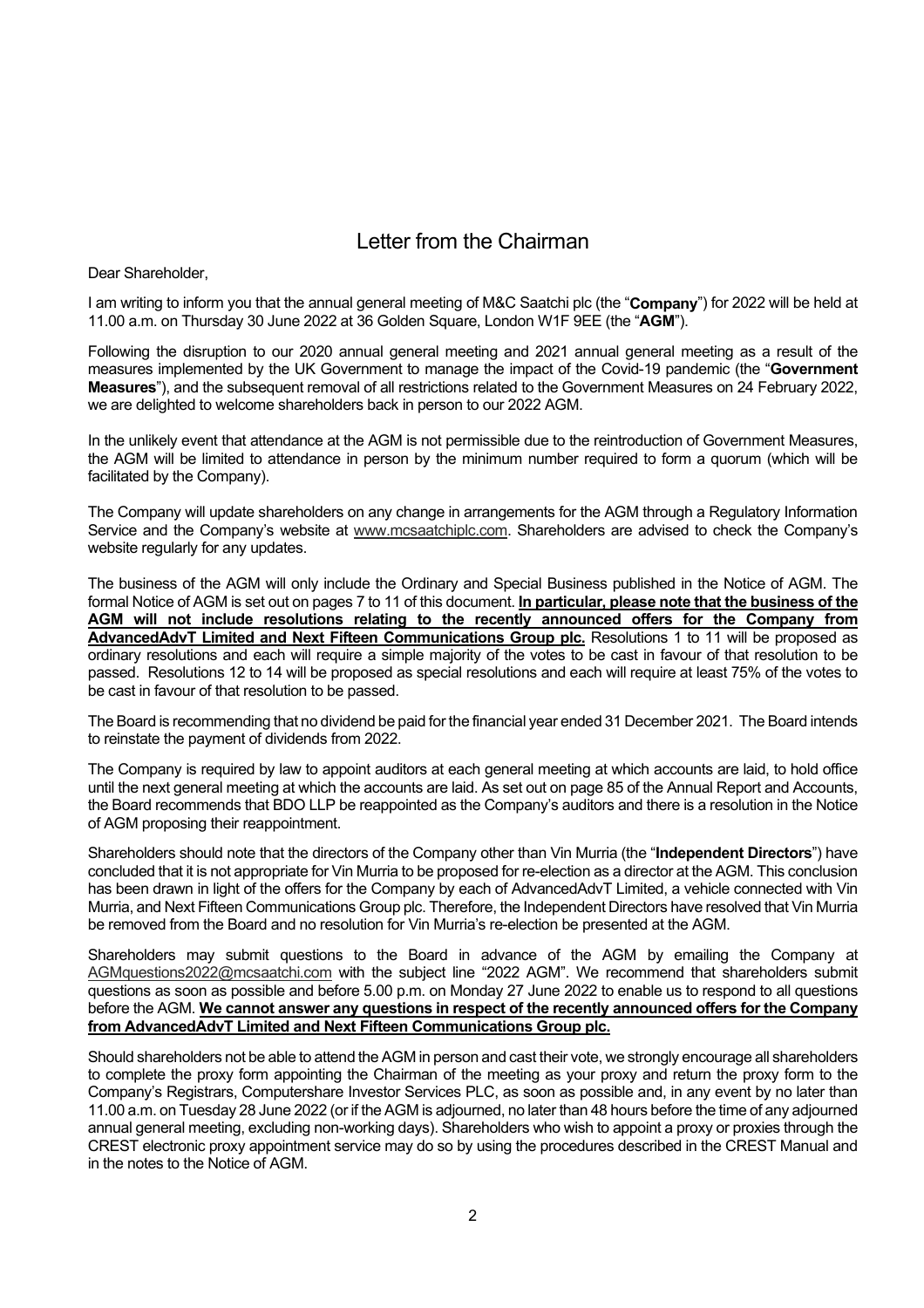### Letter from the Chairman

Dear Shareholder,

I am writing to inform you that the annual general meeting of M&C Saatchi plc (the "**Company**") for 2022 will be held at 11.00 a.m. on Thursday 30 June 2022 at 36 Golden Square, London W1F 9EE (the "**AGM**").

Following the disruption to our 2020 annual general meeting and 2021 annual general meeting as a result of the measures implemented by the UK Government to manage the impact of the Covid-19 pandemic (the "**Government Measures**"), and the subsequent removal of all restrictions related to the Government Measures on 24 February 2022, we are delighted to welcome shareholders back in person to our 2022 AGM.

In the unlikely event that attendance at the AGM is not permissible due to the reintroduction of Government Measures, the AGM will be limited to attendance in person by the minimum number required to form a quorum (which will be facilitated by the Company).

The Company will update shareholders on any change in arrangements for the AGM through a Regulatory Information Service and the Company's website at [www.mcsaatchiplc.com.](http://www.mcsaatchiplc.com/) Shareholders are advised to check the Company's website regularly for any updates.

The business of the AGM will only include the Ordinary and Special Business published in the Notice of AGM. The formal Notice of AGM is set out on pages 7 to 11 of this document. **In particular, please note that the business of the AGM will not include resolutions relating to the recently announced offers for the Company from AdvancedAdvT Limited and Next Fifteen Communications Group plc.** Resolutions 1 to 11 will be proposed as ordinary resolutions and each will require a simple majority of the votes to be cast in favour of that resolution to be passed. Resolutions 12 to 14 will be proposed as special resolutions and each will require at least 75% of the votes to be cast in favour of that resolution to be passed.

The Board is recommending that no dividend be paid for the financial year ended 31 December 2021. The Board intends to reinstate the payment of dividends from 2022.

The Company is required by law to appoint auditors at each general meeting at which accounts are laid, to hold office until the next general meeting at which the accounts are laid. As set out on page 85 of the Annual Report and Accounts, the Board recommends that BDO LLP be reappointed as the Company's auditors and there is a resolution in the Notice of AGM proposing their reappointment.

Shareholders should note that the directors of the Company other than Vin Murria (the "**Independent Directors**") have concluded that it is not appropriate for Vin Murria to be proposed for re-election as a director at the AGM. This conclusion has been drawn in light of the offers for the Company by each of AdvancedAdvT Limited, a vehicle connected with Vin Murria, and Next Fifteen Communications Group plc. Therefore, the Independent Directors have resolved that Vin Murria be removed from the Board and no resolution for Vin Murria's re-election be presented at the AGM.

Shareholders may submit questions to the Board in advance of the AGM by emailing the Company at [AGMquestions2022@mcsaatchi.com](mailto:AGMquestions2022@mcsaatchi.com) with the subject line "2022 AGM". We recommend that shareholders submit questions as soon as possible and before 5.00 p.m. on Monday 27 June 2022 to enable us to respond to all questions before the AGM. **We cannot answer any questions in respect of the recently announced offers for the Company from AdvancedAdvT Limited and Next Fifteen Communications Group plc.**

Should shareholders not be able to attend the AGM in person and cast their vote, we strongly encourage all shareholders to complete the proxy form appointing the Chairman of the meeting as your proxy and return the proxy form to the Company's Registrars, Computershare Investor Services PLC, as soon as possible and, in any event by no later than 11.00 a.m. on Tuesday 28 June 2022 (or if the AGM is adjourned, no later than 48 hours before the time of any adjourned annual general meeting, excluding non-working days). Shareholders who wish to appoint a proxy or proxies through the CREST electronic proxy appointment service may do so by using the procedures described in the CREST Manual and in the notes to the Notice of AGM.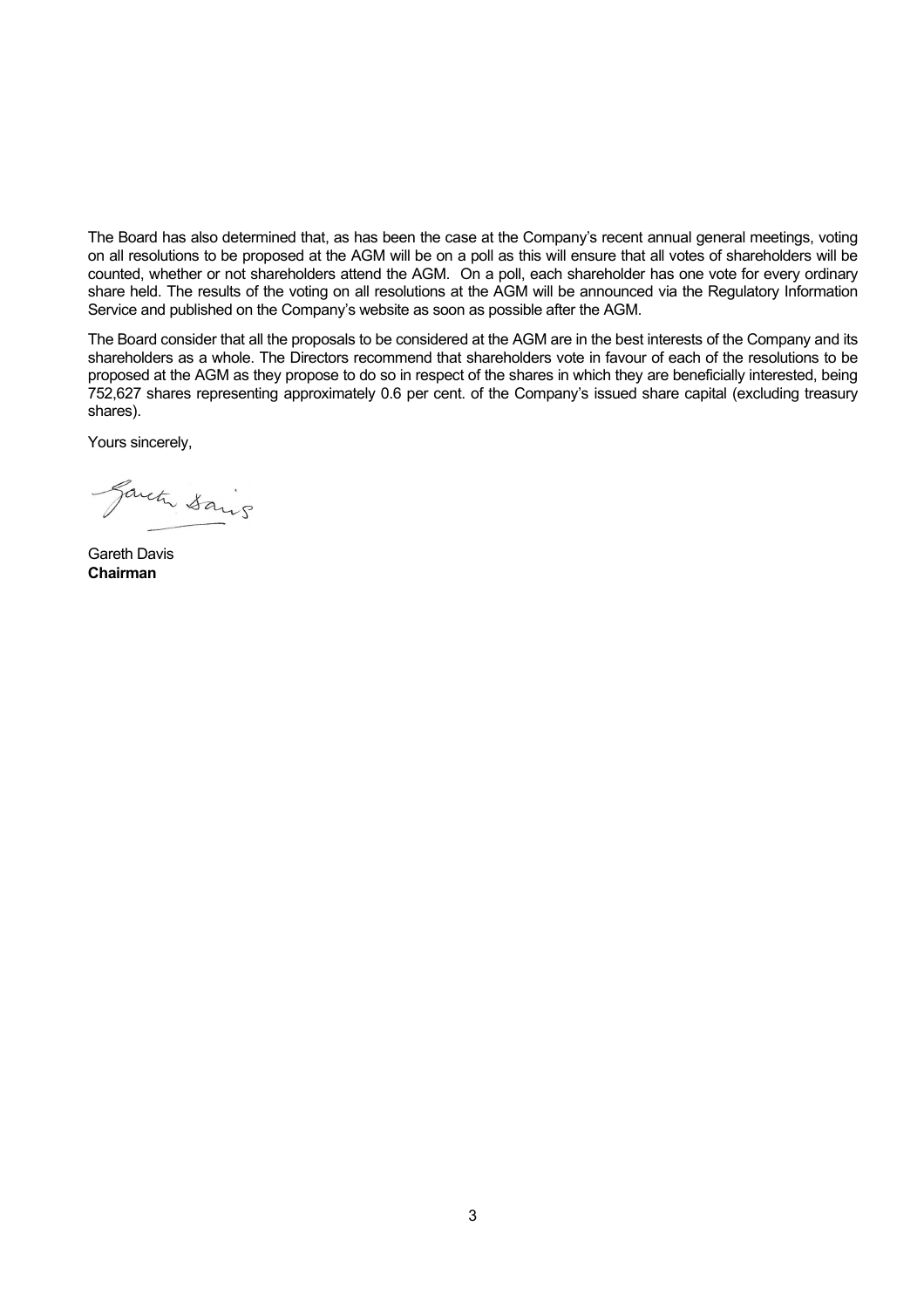The Board has also determined that, as has been the case at the Company's recent annual general meetings, voting on all resolutions to be proposed at the AGM will be on a poll as this will ensure that all votes of shareholders will be counted, whether or not shareholders attend the AGM. On a poll, each shareholder has one vote for every ordinary share held. The results of the voting on all resolutions at the AGM will be announced via the Regulatory Information Service and published on the Company's website as soon as possible after the AGM.

The Board consider that all the proposals to be considered at the AGM are in the best interests of the Company and its shareholders as a whole. The Directors recommend that shareholders vote in favour of each of the resolutions to be proposed at the AGM as they propose to do so in respect of the shares in which they are beneficially interested, being 752,627 shares representing approximately 0.6 per cent. of the Company's issued share capital (excluding treasury shares).

Yours sincerely,

Gareta Sains

Gareth Davis **Chairman**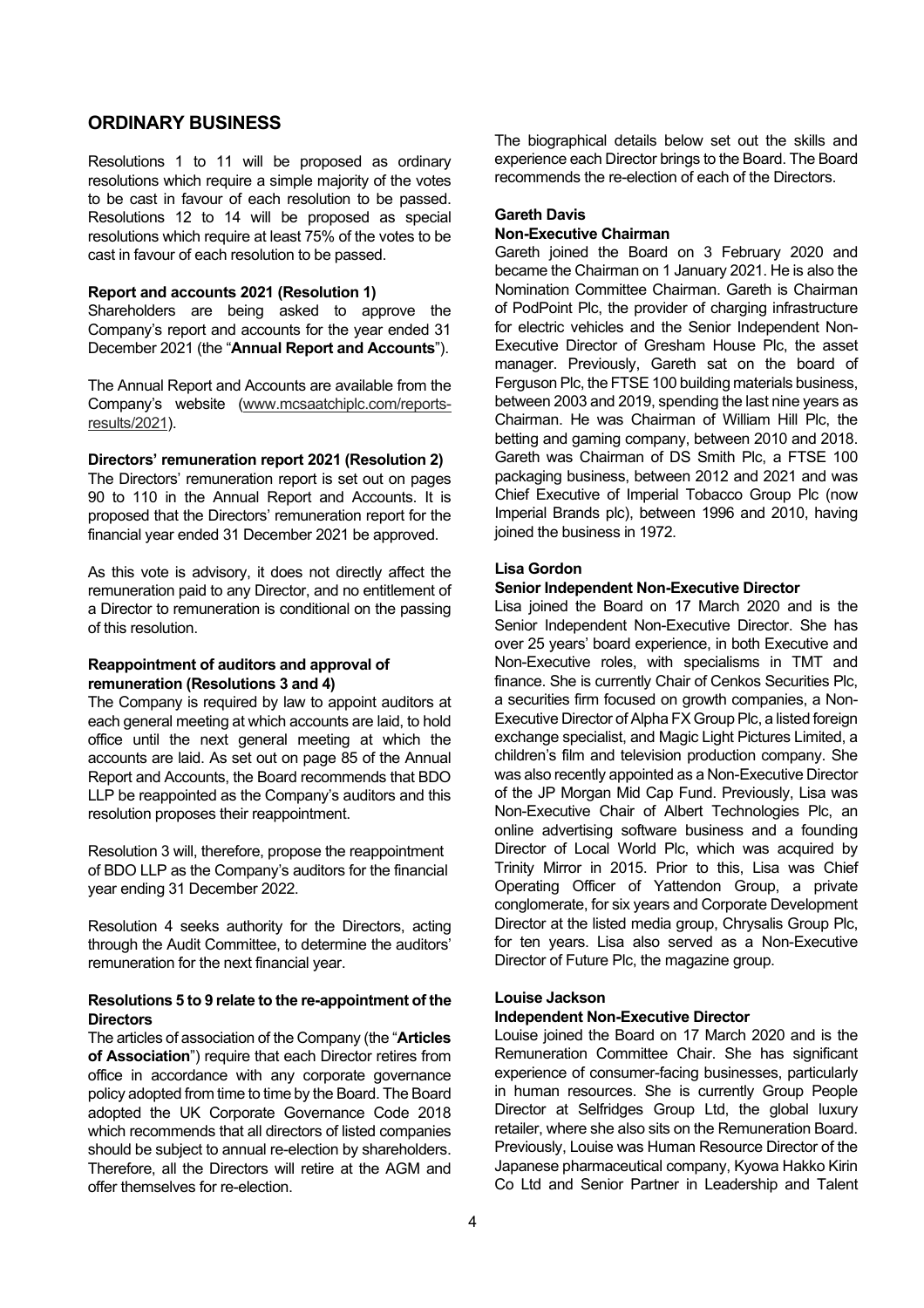#### **ORDINARY BUSINESS**

Resolutions 1 to 11 will be proposed as ordinary resolutions which require a simple majority of the votes to be cast in favour of each resolution to be passed. Resolutions 12 to 14 will be proposed as special resolutions which require at least 75% of the votes to be cast in favour of each resolution to be passed.

#### **Report and accounts 2021 (Resolution 1)**

Shareholders are being asked to approve the Company's report and accounts for the year ended 31 December 2021 (the "**Annual Report and Accounts**").

The Annual Report and Accounts are available from the Company's website [\(www.mcsaatchiplc.com/reports](http://www.mcsaatchiplc.com/reports-results/2021)[results/2021\)](http://www.mcsaatchiplc.com/reports-results/2021).

#### **Directors' remuneration report 2021 (Resolution 2)**

The Directors' remuneration report is set out on pages 90 to 110 in the Annual Report and Accounts. It is proposed that the Directors' remuneration report for the financial year ended 31 December 2021 be approved.

As this vote is advisory, it does not directly affect the remuneration paid to any Director, and no entitlement of a Director to remuneration is conditional on the passing of this resolution.

#### **Reappointment of auditors and approval of remuneration (Resolutions 3 and 4)**

The Company is required by law to appoint auditors at each general meeting at which accounts are laid, to hold office until the next general meeting at which the accounts are laid. As set out on page 85 of the Annual Report and Accounts, the Board recommends that BDO LLP be reappointed as the Company's auditors and this resolution proposes their reappointment.

Resolution 3 will, therefore, propose the reappointment of BDO LLP as the Company's auditors for the financial year ending 31 December 2022.

Resolution 4 seeks authority for the Directors, acting through the Audit Committee, to determine the auditors' remuneration for the next financial year.

#### **Resolutions 5 to 9 relate to the re-appointment of the Directors**

The articles of association of the Company (the "**Articles of Association**") require that each Director retires from office in accordance with any corporate governance policy adopted from time to time by the Board. The Board adopted the UK Corporate Governance Code 2018 which recommends that all directors of listed companies should be subject to annual re-election by shareholders. Therefore, all the Directors will retire at the AGM and offer themselves for re-election.

The biographical details below set out the skills and experience each Director brings to the Board. The Board recommends the re-election of each of the Directors.

#### **Gareth Davis**

#### **Non-Executive Chairman**

Gareth joined the Board on 3 February 2020 and became the Chairman on 1 January 2021. He is also the Nomination Committee Chairman. Gareth is Chairman of PodPoint Plc, the provider of charging infrastructure for electric vehicles and the Senior Independent Non-Executive Director of Gresham House Plc, the asset manager. Previously, Gareth sat on the board of Ferguson Plc, the FTSE 100 building materials business, between 2003 and 2019, spending the last nine years as Chairman. He was Chairman of William Hill Plc, the betting and gaming company, between 2010 and 2018. Gareth was Chairman of DS Smith Plc, a FTSE 100 packaging business, between 2012 and 2021 and was Chief Executive of Imperial Tobacco Group Plc (now Imperial Brands plc), between 1996 and 2010, having joined the business in 1972.

#### **Lisa Gordon**

#### **Senior Independent Non-Executive Director**

Lisa joined the Board on 17 March 2020 and is the Senior Independent Non-Executive Director. She has over 25 years' board experience, in both Executive and Non-Executive roles, with specialisms in TMT and finance. She is currently Chair of Cenkos Securities Plc, a securities firm focused on growth companies, a Non-Executive Director of Alpha FX Group Plc, a listed foreign exchange specialist, and Magic Light Pictures Limited, a children's film and television production company. She was also recently appointed as a Non-Executive Director of the JP Morgan Mid Cap Fund. Previously, Lisa was Non-Executive Chair of Albert Technologies Plc, an online advertising software business and a founding Director of Local World Plc, which was acquired by Trinity Mirror in 2015. Prior to this, Lisa was Chief Operating Officer of Yattendon Group, a private conglomerate, for six years and Corporate Development Director at the listed media group, Chrysalis Group Plc, for ten years. Lisa also served as a Non-Executive Director of Future Plc, the magazine group.

#### **Louise Jackson**

#### **Independent Non-Executive Director**

Louise joined the Board on 17 March 2020 and is the Remuneration Committee Chair. She has significant experience of consumer-facing businesses, particularly in human resources. She is currently Group People Director at Selfridges Group Ltd, the global luxury retailer, where she also sits on the Remuneration Board. Previously, Louise was Human Resource Director of the Japanese pharmaceutical company, Kyowa Hakko Kirin Co Ltd and Senior Partner in Leadership and Talent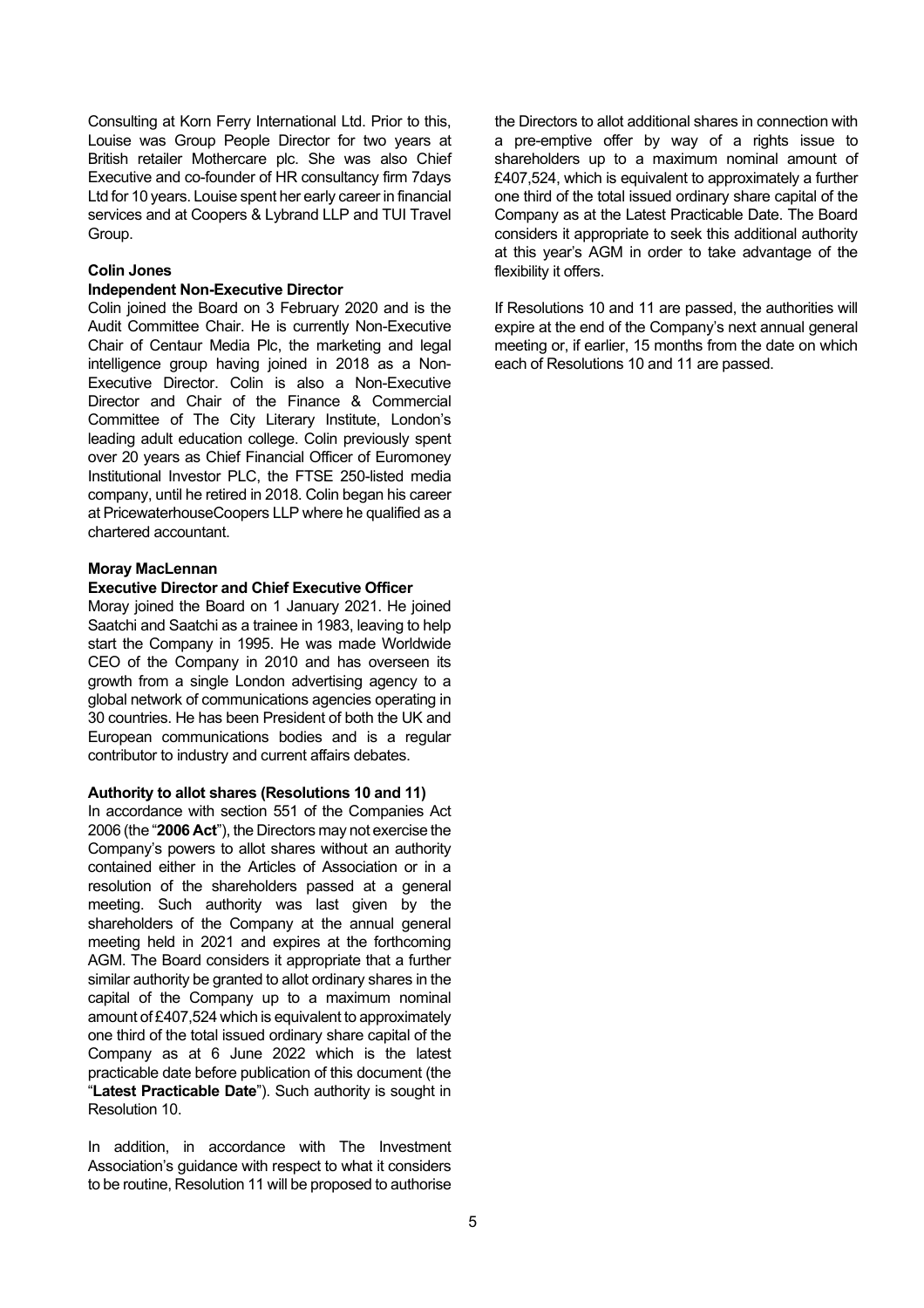Consulting at Korn Ferry International Ltd. Prior to this, Louise was Group People Director for two years at British retailer Mothercare plc. She was also Chief Executive and co-founder of HR consultancy firm 7days Ltd for 10 years. Louise spent her early career in financial services and at Coopers & Lybrand LLP and TUI Travel Group.

#### **Colin Jones**

#### **Independent Non-Executive Director**

Colin joined the Board on 3 February 2020 and is the Audit Committee Chair. He is currently Non-Executive Chair of Centaur Media Plc, the marketing and legal intelligence group having joined in 2018 as a Non-Executive Director. Colin is also a Non-Executive Director and Chair of the Finance & Commercial Committee of The City Literary Institute, London's leading adult education college. Colin previously spent over 20 years as Chief Financial Officer of Euromoney Institutional Investor PLC, the FTSE 250-listed media company, until he retired in 2018. Colin began his career at PricewaterhouseCoopers LLP where he qualified as a chartered accountant.

#### **Moray MacLennan**

#### **Executive Director and Chief Executive Officer**

Moray joined the Board on 1 January 2021. He joined Saatchi and Saatchi as a trainee in 1983, leaving to help start the Company in 1995. He was made Worldwide CEO of the Company in 2010 and has overseen its growth from a single London advertising agency to a global network of communications agencies operating in 30 countries. He has been President of both the UK and European communications bodies and is a regular contributor to industry and current affairs debates.

#### **Authority to allot shares (Resolutions 10 and 11)**

In accordance with section 551 of the Companies Act 2006 (the "**2006 Act**"), the Directors may not exercise the Company's powers to allot shares without an authority contained either in the Articles of Association or in a resolution of the shareholders passed at a general meeting. Such authority was last given by the shareholders of the Company at the annual general meeting held in 2021 and expires at the forthcoming AGM. The Board considers it appropriate that a further similar authority be granted to allot ordinary shares in the capital of the Company up to a maximum nominal amount of £407,524 which is equivalent to approximately one third of the total issued ordinary share capital of the Company as at 6 June 2022 which is the latest practicable date before publication of this document (the "**Latest Practicable Date**"). Such authority is sought in Resolution 10.

In addition, in accordance with The Investment Association's guidance with respect to what it considers to be routine, Resolution 11 will be proposed to authorise the Directors to allot additional shares in connection with a pre-emptive offer by way of a rights issue to shareholders up to a maximum nominal amount of £407,524, which is equivalent to approximately a further one third of the total issued ordinary share capital of the Company as at the Latest Practicable Date. The Board considers it appropriate to seek this additional authority at this year's AGM in order to take advantage of the flexibility it offers.

If Resolutions 10 and 11 are passed, the authorities will expire at the end of the Company's next annual general meeting or, if earlier, 15 months from the date on which each of Resolutions 10 and 11 are passed.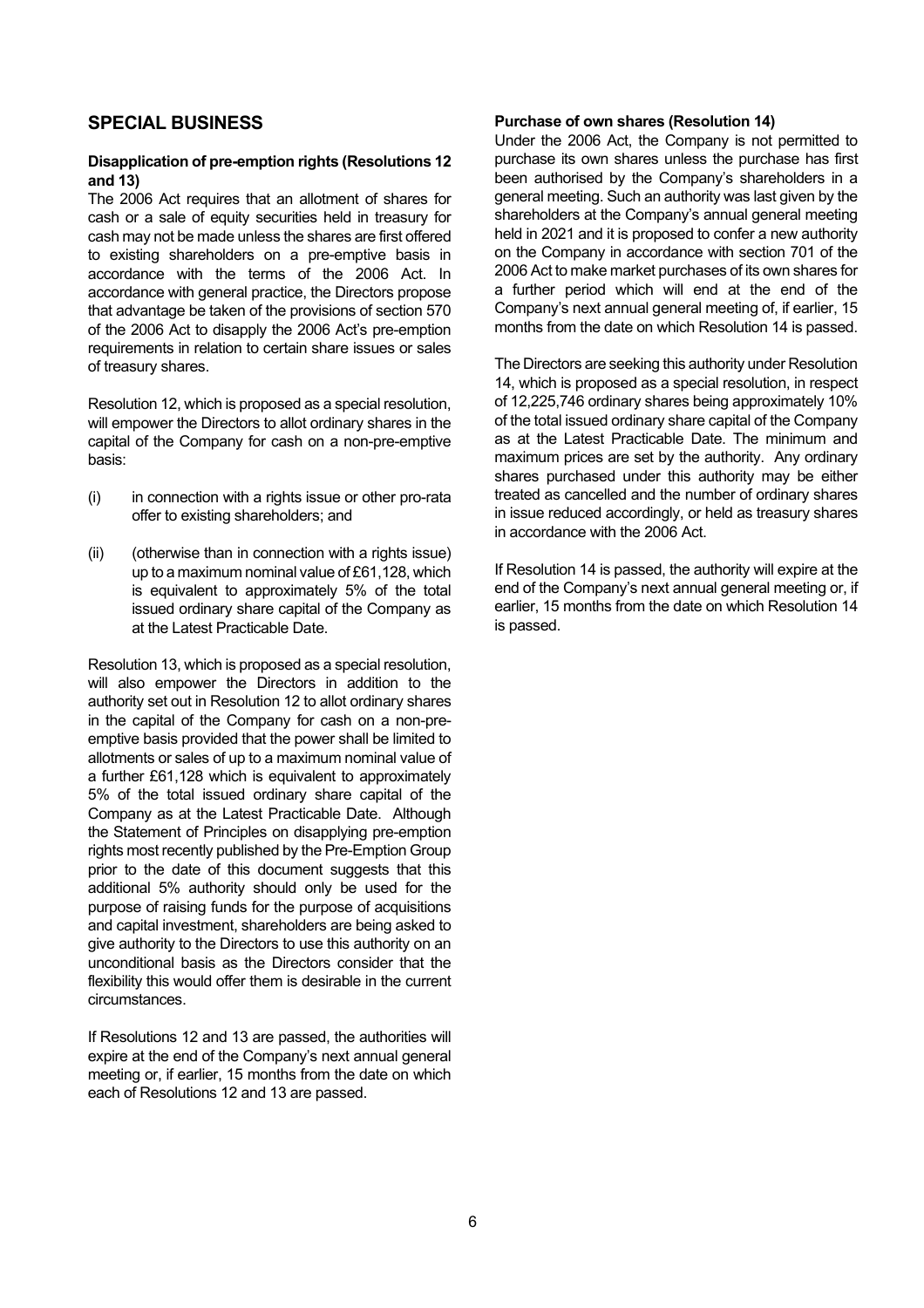#### **SPECIAL BUSINESS**

#### **Disapplication of pre-emption rights (Resolutions 12 and 13)**

The 2006 Act requires that an allotment of shares for cash or a sale of equity securities held in treasury for cash may not be made unless the shares are first offered to existing shareholders on a pre-emptive basis in accordance with the terms of the 2006 Act. In accordance with general practice, the Directors propose that advantage be taken of the provisions of section 570 of the 2006 Act to disapply the 2006 Act's pre-emption requirements in relation to certain share issues or sales of treasury shares.

Resolution 12, which is proposed as a special resolution, will empower the Directors to allot ordinary shares in the capital of the Company for cash on a non-pre-emptive basis:

- (i) in connection with a rights issue or other pro-rata offer to existing shareholders; and
- (ii) (otherwise than in connection with a rights issue) up to a maximum nominal value of £61,128, which is equivalent to approximately 5% of the total issued ordinary share capital of the Company as at the Latest Practicable Date.

Resolution 13, which is proposed as a special resolution, will also empower the Directors in addition to the authority set out in Resolution 12 to allot ordinary shares in the capital of the Company for cash on a non-preemptive basis provided that the power shall be limited to allotments or sales of up to a maximum nominal value of a further £61,128 which is equivalent to approximately 5% of the total issued ordinary share capital of the Company as at the Latest Practicable Date. Although the Statement of Principles on disapplying pre-emption rights most recently published by the Pre-Emption Group prior to the date of this document suggests that this additional 5% authority should only be used for the purpose of raising funds for the purpose of acquisitions and capital investment, shareholders are being asked to give authority to the Directors to use this authority on an unconditional basis as the Directors consider that the flexibility this would offer them is desirable in the current circumstances.

If Resolutions 12 and 13 are passed, the authorities will expire at the end of the Company's next annual general meeting or, if earlier, 15 months from the date on which each of Resolutions 12 and 13 are passed.

#### **Purchase of own shares (Resolution 14)**

Under the 2006 Act, the Company is not permitted to purchase its own shares unless the purchase has first been authorised by the Company's shareholders in a general meeting. Such an authority was last given by the shareholders at the Company's annual general meeting held in 2021 and it is proposed to confer a new authority on the Company in accordance with section 701 of the 2006 Act to make market purchases of its own shares for a further period which will end at the end of the Company's next annual general meeting of, if earlier, 15 months from the date on which Resolution 14 is passed.

The Directors are seeking this authority under Resolution 14, which is proposed as a special resolution, in respect of 12,225,746 ordinary shares being approximately 10% of the total issued ordinary share capital of the Company as at the Latest Practicable Date. The minimum and maximum prices are set by the authority. Any ordinary shares purchased under this authority may be either treated as cancelled and the number of ordinary shares in issue reduced accordingly, or held as treasury shares in accordance with the 2006 Act.

If Resolution 14 is passed, the authority will expire at the end of the Company's next annual general meeting or, if earlier, 15 months from the date on which Resolution 14 is passed.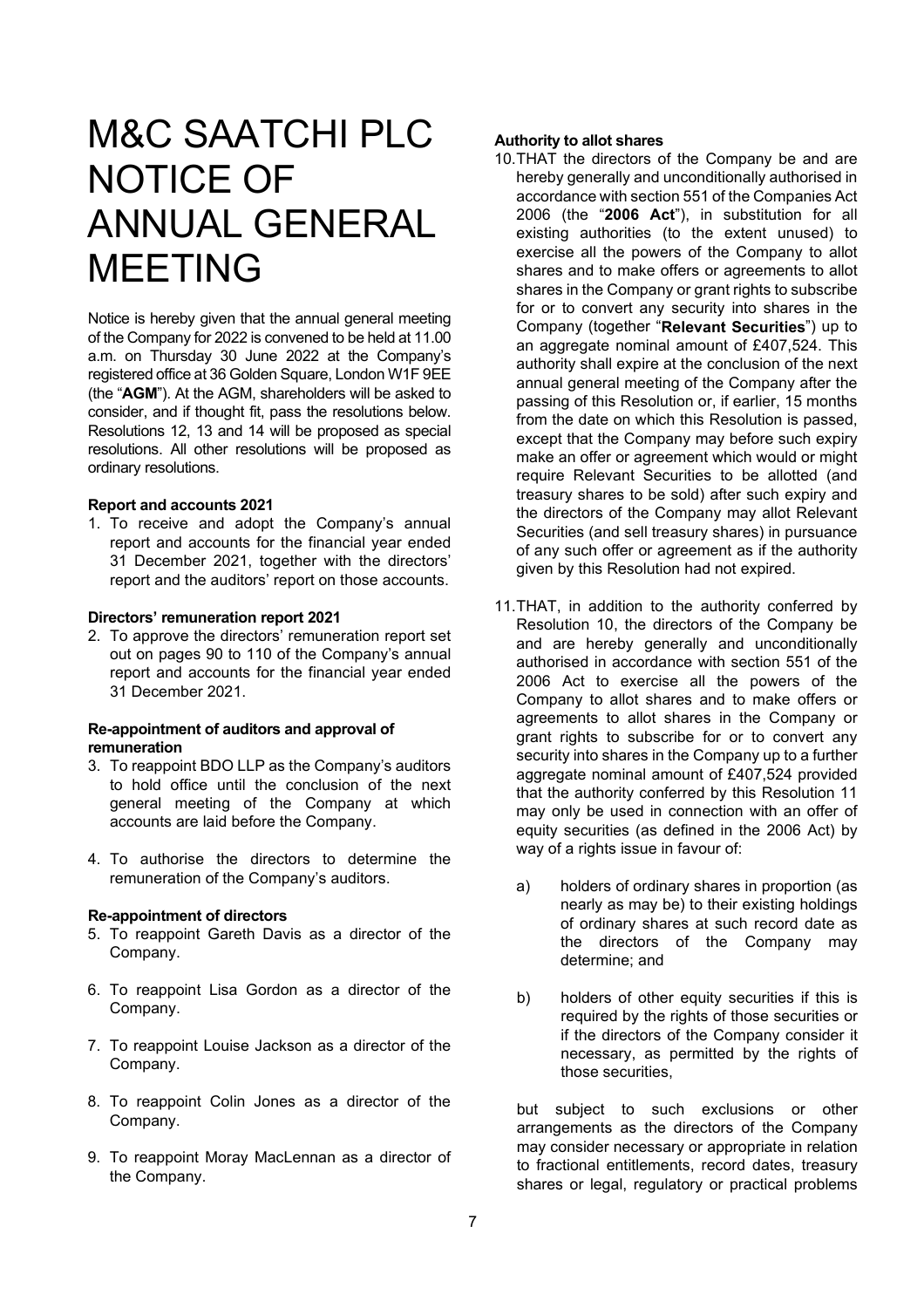### M&C SAATCHI PLC NOTICE OF ANNUAL GENERAL MEETING

Notice is hereby given that the annual general meeting of the Company for 2022 is convened to be held at 11.00 a.m. on Thursday 30 June 2022 at the Company's registered office at 36 Golden Square, London W1F 9EE (the "**AGM**"). At the AGM, shareholders will be asked to consider, and if thought fit, pass the resolutions below. Resolutions 12, 13 and 14 will be proposed as special resolutions. All other resolutions will be proposed as ordinary resolutions.

#### **Report and accounts 2021**

1. To receive and adopt the Company's annual report and accounts for the financial year ended 31 December 2021, together with the directors' report and the auditors' report on those accounts.

#### **Directors' remuneration report 2021**

2. To approve the directors' remuneration report set out on pages 90 to 110 of the Company's annual report and accounts for the financial year ended 31 December 2021.

#### **Re-appointment of auditors and approval of remuneration**

- 3. To reappoint BDO LLP as the Company's auditors to hold office until the conclusion of the next general meeting of the Company at which accounts are laid before the Company.
- 4. To authorise the directors to determine the remuneration of the Company's auditors.

#### **Re-appointment of directors**

- 5. To reappoint Gareth Davis as a director of the Company.
- 6. To reappoint Lisa Gordon as a director of the Company.
- 7. To reappoint Louise Jackson as a director of the Company.
- 8. To reappoint Colin Jones as a director of the Company.
- 9. To reappoint Moray MacLennan as a director of the Company.

#### **Authority to allot shares**

- 10. THAT the directors of the Company be and are hereby generally and unconditionally authorised in accordance with section 551 of the Companies Act 2006 (the "**2006 Act**"), in substitution for all existing authorities (to the extent unused) to exercise all the powers of the Company to allot shares and to make offers or agreements to allot shares in the Company or grant rights to subscribe for or to convert any security into shares in the Company (together "**Relevant Securities**") up to an aggregate nominal amount of £407,524. This authority shall expire at the conclusion of the next annual general meeting of the Company after the passing of this Resolution or, if earlier, 15 months from the date on which this Resolution is passed, except that the Company may before such expiry make an offer or agreement which would or might require Relevant Securities to be allotted (and treasury shares to be sold) after such expiry and the directors of the Company may allot Relevant Securities (and sell treasury shares) in pursuance of any such offer or agreement as if the authority given by this Resolution had not expired.
- 11. THAT, in addition to the authority conferred by Resolution 10, the directors of the Company be and are hereby generally and unconditionally authorised in accordance with section 551 of the 2006 Act to exercise all the powers of the Company to allot shares and to make offers or agreements to allot shares in the Company or grant rights to subscribe for or to convert any security into shares in the Company up to a further aggregate nominal amount of £407,524 provided that the authority conferred by this Resolution 11 may only be used in connection with an offer of equity securities (as defined in the 2006 Act) by way of a rights issue in fayour of:
	- a) holders of ordinary shares in proportion (as nearly as may be) to their existing holdings of ordinary shares at such record date as the directors of the Company may determine; and
	- b) holders of other equity securities if this is required by the rights of those securities or if the directors of the Company consider it necessary, as permitted by the rights of those securities,

but subject to such exclusions or other arrangements as the directors of the Company may consider necessary or appropriate in relation to fractional entitlements, record dates, treasury shares or legal, regulatory or practical problems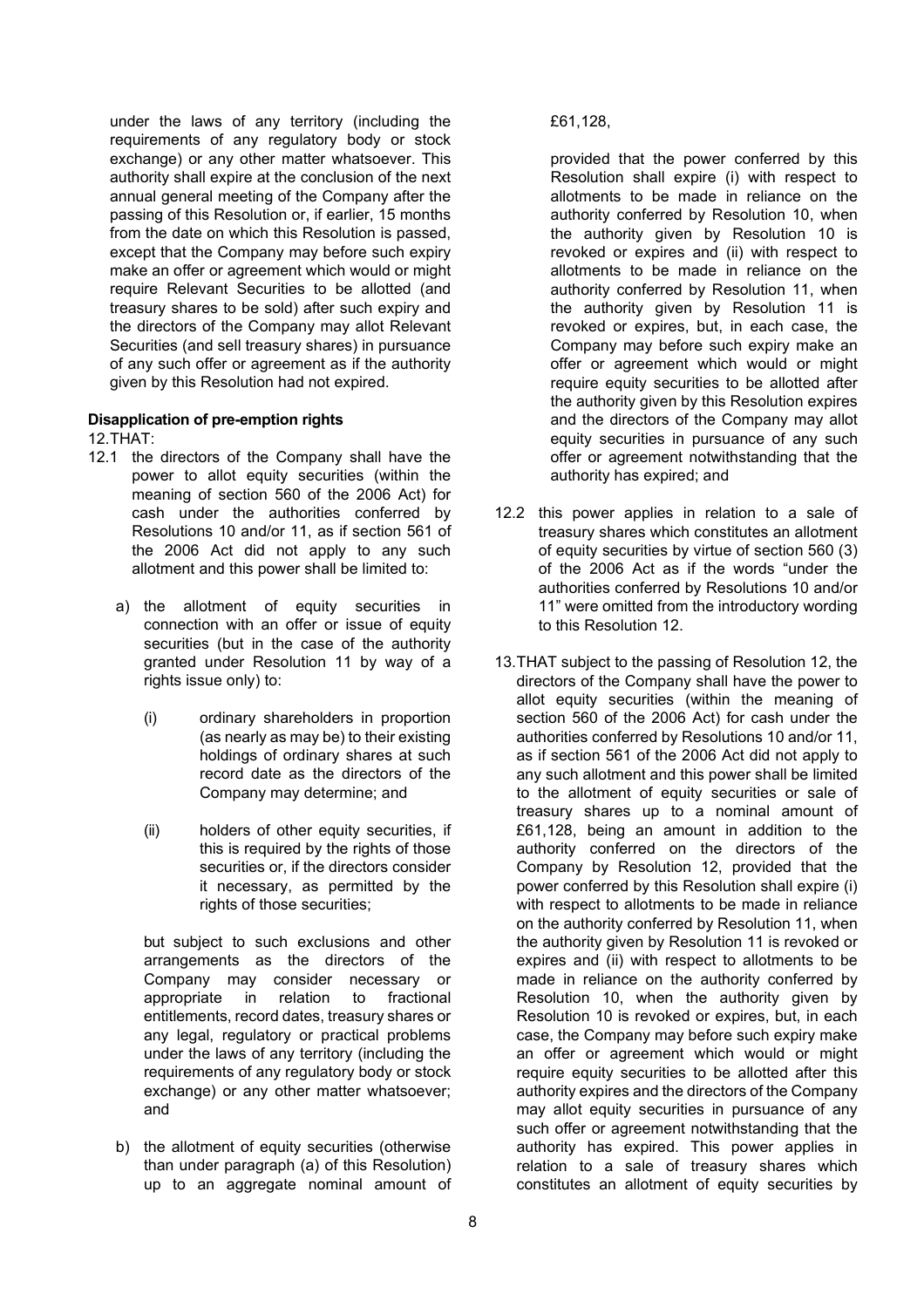under the laws of any territory (including the requirements of any regulatory body or stock exchange) or any other matter whatsoever. This authority shall expire at the conclusion of the next annual general meeting of the Company after the passing of this Resolution or, if earlier, 15 months from the date on which this Resolution is passed, except that the Company may before such expiry make an offer or agreement which would or might require Relevant Securities to be allotted (and treasury shares to be sold) after such expiry and the directors of the Company may allot Relevant Securities (and sell treasury shares) in pursuance of any such offer or agreement as if the authority given by this Resolution had not expired.

#### **Disapplication of pre-emption rights**

12. THAT:

- 12.1 the directors of the Company shall have the power to allot equity securities (within the meaning of section 560 of the 2006 Act) for cash under the authorities conferred by Resolutions 10 and/or 11, as if section 561 of the 2006 Act did not apply to any such allotment and this power shall be limited to:
	- a) the allotment of equity securities in connection with an offer or issue of equity securities (but in the case of the authority granted under Resolution 11 by way of a rights issue only) to:
		- (i) ordinary shareholders in proportion (as nearly as may be) to their existing holdings of ordinary shares at such record date as the directors of the Company may determine; and
		- (ii) holders of other equity securities, if this is required by the rights of those securities or, if the directors consider it necessary, as permitted by the rights of those securities;

but subject to such exclusions and other arrangements as the directors of the Company may consider necessary or appropriate in relation to fractional entitlements, record dates, treasury shares or any legal, regulatory or practical problems under the laws of any territory (including the requirements of any regulatory body or stock exchange) or any other matter whatsoever; and

b) the allotment of equity securities (otherwise than under paragraph (a) of this Resolution) up to an aggregate nominal amount of

#### £61,128,

provided that the power conferred by this Resolution shall expire (i) with respect to allotments to be made in reliance on the authority conferred by Resolution 10, when the authority given by Resolution 10 is revoked or expires and (ii) with respect to allotments to be made in reliance on the authority conferred by Resolution 11, when the authority given by Resolution 11 is revoked or expires, but, in each case, the Company may before such expiry make an offer or agreement which would or might require equity securities to be allotted after the authority given by this Resolution expires and the directors of the Company may allot equity securities in pursuance of any such offer or agreement notwithstanding that the authority has expired; and

- 12.2 this power applies in relation to a sale of treasury shares which constitutes an allotment of equity securities by virtue of section 560 (3) of the 2006 Act as if the words "under the authorities conferred by Resolutions 10 and/or 11" were omitted from the introductory wording to this Resolution 12.
- 13. THAT subject to the passing of Resolution 12, the directors of the Company shall have the power to allot equity securities (within the meaning of section 560 of the 2006 Act) for cash under the authorities conferred by Resolutions 10 and/or 11, as if section 561 of the 2006 Act did not apply to any such allotment and this power shall be limited to the allotment of equity securities or sale of treasury shares up to a nominal amount of £61,128, being an amount in addition to the authority conferred on the directors of the Company by Resolution 12, provided that the power conferred by this Resolution shall expire (i) with respect to allotments to be made in reliance on the authority conferred by Resolution 11, when the authority given by Resolution 11 is revoked or expires and (ii) with respect to allotments to be made in reliance on the authority conferred by Resolution 10, when the authority given by Resolution 10 is revoked or expires, but, in each case, the Company may before such expiry make an offer or agreement which would or might require equity securities to be allotted after this authority expires and the directors of the Company may allot equity securities in pursuance of any such offer or agreement notwithstanding that the authority has expired. This power applies in relation to a sale of treasury shares which constitutes an allotment of equity securities by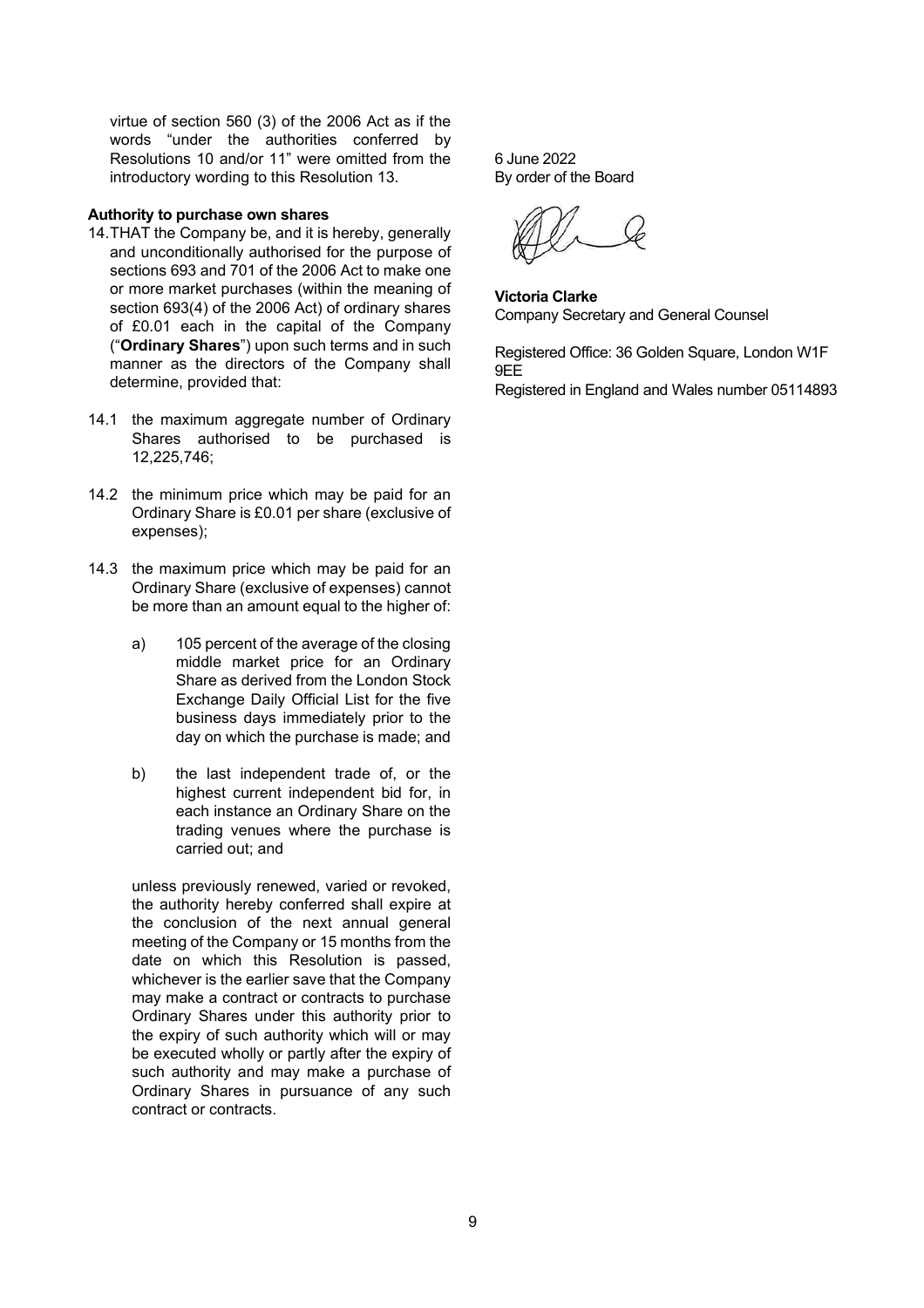virtue of section 560 (3) of the 2006 Act as if the words "under the authorities conferred by Resolutions 10 and/or 11" were omitted from the introductory wording to this Resolution 13.

#### **Authority to purchase own shares**

- 14. THAT the Company be, and it is hereby, generally and unconditionally authorised for the purpose of sections 693 and 701 of the 2006 Act to make one or more market purchases (within the meaning of section 693(4) of the 2006 Act) of ordinary shares of £0.01 each in the capital of the Company ("**Ordinary Shares**") upon such terms and in such manner as the directors of the Company shall determine, provided that:
- 14.1 the maximum aggregate number of Ordinary Shares authorised to be purchased is 12,225,746;
- 14.2 the minimum price which may be paid for an Ordinary Share is £0.01 per share (exclusive of expenses);
- 14.3 the maximum price which may be paid for an Ordinary Share (exclusive of expenses) cannot be more than an amount equal to the higher of:
	- a) 105 percent of the average of the closing middle market price for an Ordinary Share as derived from the London Stock Exchange Daily Official List for the five business days immediately prior to the day on which the purchase is made; and
	- b) the last independent trade of, or the highest current independent bid for, in each instance an Ordinary Share on the trading venues where the purchase is carried out; and

unless previously renewed, varied or revoked, the authority hereby conferred shall expire at the conclusion of the next annual general meeting of the Company or 15 months from the date on which this Resolution is passed, whichever is the earlier save that the Company may make a contract or contracts to purchase Ordinary Shares under this authority prior to the expiry of such authority which will or may be executed wholly or partly after the expiry of such authority and may make a purchase of Ordinary Shares in pursuance of any such contract or contracts.

6 June 2022 By order of the Board

**Victoria Clarke** Company Secretary and General Counsel

Registered Office: 36 Golden Square, London W1F 9EE

Registered in England and Wales number 05114893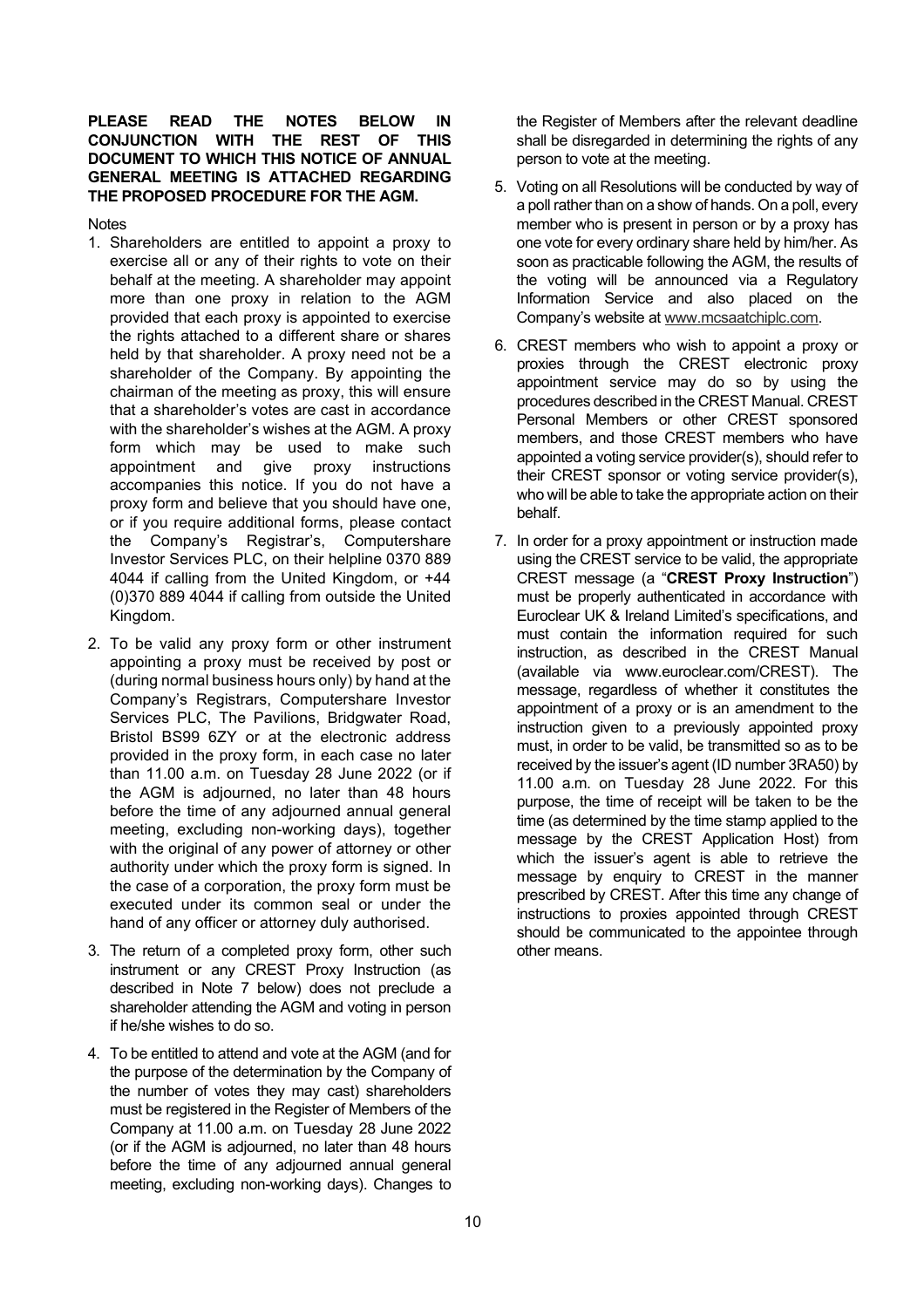#### **PLEASE READ THE NOTES BELOW IN CONJUNCTION WITH THE REST DOCUMENT TO WHICH THIS NOTICE OF ANNUAL GENERAL MEETING IS ATTACHED REGARDING THE PROPOSED PROCEDURE FOR THE AGM.**

**Notes** 

- 1. Shareholders are entitled to appoint a proxy to exercise all or any of their rights to vote on their behalf at the meeting. A shareholder may appoint more than one proxy in relation to the AGM provided that each proxy is appointed to exercise the rights attached to a different share or shares held by that shareholder. A proxy need not be a shareholder of the Company. By appointing the chairman of the meeting as proxy, this will ensure that a shareholder's votes are cast in accordance with the shareholder's wishes at the AGM. A proxy form which may be used to make such appointment and give proxy instructions accompanies this notice. If you do not have a proxy form and believe that you should have one, or if you require additional forms, please contact the Company's Registrar's, Computershare Investor Services PLC, on their helpline 0370 889 4044 if calling from the United Kingdom, or +44 (0)370 889 4044 if calling from outside the United Kingdom.
- 2. To be valid any proxy form or other instrument appointing a proxy must be received by post or (during normal business hours only) by hand at the Company's Registrars, Computershare Investor Services PLC, The Pavilions, Bridgwater Road, Bristol BS99 6ZY or at the electronic address provided in the proxy form, in each case no later than 11.00 a.m. on Tuesday 28 June 2022 (or if the AGM is adjourned, no later than 48 hours before the time of any adjourned annual general meeting, excluding non-working days), together with the original of any power of attorney or other authority under which the proxy form is signed. In the case of a corporation, the proxy form must be executed under its common seal or under the hand of any officer or attorney duly authorised.
- 3. The return of a completed proxy form, other such instrument or any CREST Proxy Instruction (as described in Note 7 below) does not preclude a shareholder attending the AGM and voting in person if he/she wishes to do so.
- 4. To be entitled to attend and vote at the AGM (and for the purpose of the determination by the Company of the number of votes they may cast) shareholders must be registered in the Register of Members of the Company at 11.00 a.m. on Tuesday 28 June 2022 (or if the AGM is adjourned, no later than 48 hours before the time of any adjourned annual general meeting, excluding non-working days). Changes to

the Register of Members after the relevant deadline shall be disregarded in determining the rights of any person to vote at the meeting.

- 5. Voting on all Resolutions will be conducted by way of a poll rather than on a show of hands. On a poll, every member who is present in person or by a proxy has one vote for every ordinary share held by him/her. As soon as practicable following the AGM, the results of the voting will be announced via a Regulatory Information Service and also placed on the Company's website at [www.mcsaatchiplc.com.](http://www.mcsaatchiplc.com/)
- 6. CREST members who wish to appoint a proxy or proxies through the CREST electronic proxy appointment service may do so by using the procedures described in the CREST Manual. CREST Personal Members or other CREST sponsored members, and those CREST members who have appointed a voting service provider(s), should refer to their CREST sponsor or voting service provider(s), who will be able to take the appropriate action on their behalf.
- 7. In order for a proxy appointment or instruction made using the CREST service to be valid, the appropriate CREST message (a "**CREST Proxy Instruction**") must be properly authenticated in accordance with Euroclear UK & Ireland Limited's specifications, and must contain the information required for such instruction, as described in the CREST Manual (available via www.euroclear.com/CREST). The message, regardless of whether it constitutes the appointment of a proxy or is an amendment to the instruction given to a previously appointed proxy must, in order to be valid, be transmitted so as to be received by the issuer's agent (ID number 3RA50) by 11.00 a.m. on Tuesday 28 June 2022. For this purpose, the time of receipt will be taken to be the time (as determined by the time stamp applied to the message by the CREST Application Host) from which the issuer's agent is able to retrieve the message by enquiry to CREST in the manner prescribed by CREST. After this time any change of instructions to proxies appointed through CREST should be communicated to the appointee through other means.